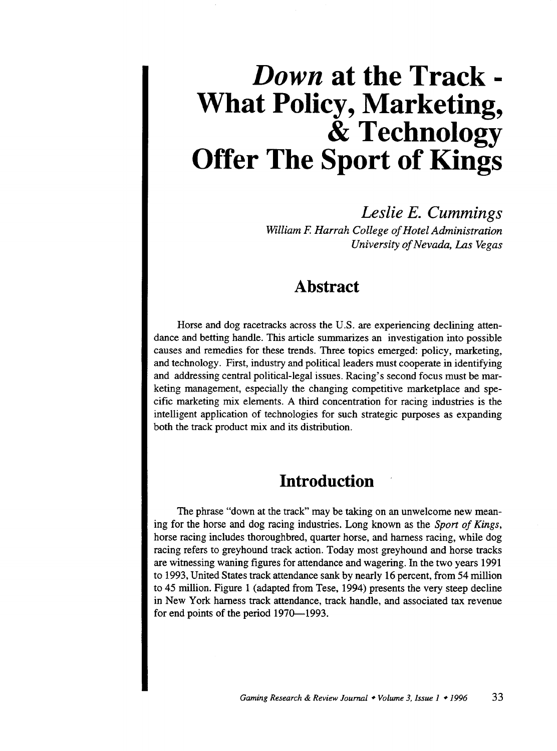# *Down* **at the Track** - **What Policy, Marketing,**  & **Technology Offer The Sport of Kings**

*Leslie E. Cummings William* F. *Harrah College of Hotel Administration University of Nevada, Las Vegas* 

# **Abstract**

Horse and dog racetracks across the U.S. are experiencing declining attendance and betting handle. This article summarizes an investigation into possible causes and remedies for these trends. Three topics emerged: policy, marketing, and technology. First, industry and political leaders must cooperate in identifying and addressing central political-legal issues. Racing's second focus must be marketing management, especially the changing competitive marketplace and specific marketing mix elements. A third concentration for racing industries is the intelligent application of technologies for such strategic purposes as expanding both the track product mix and its distribution.

### **Introduction**

The phrase "down at the track" may be taking on an unwelcome new meaning for the horse and dog racing industries. Long known as the *Sport of Kings,*  horse racing includes thoroughbred, quarter horse, and harness racing, while dog racing refers to greyhound track action. Today most greyhound and horse tracks are witnessing waning figures for attendance and wagering. In the two years 1991 to 1993, United States track attendance sank by nearly 16 percent, from 54 million to 45 million. Figure 1 (adapted from Tese, 1994) presents the very steep decline in New York harness track attendance, track handle, and associated tax revenue for end points of the period 1970-1993.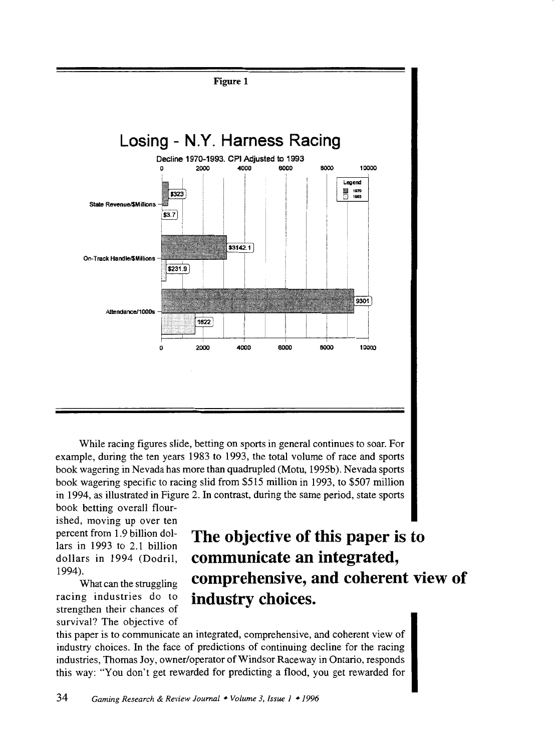

While racing figures slide, betting on sports in general continues to soar. For example, during the ten years 1983 to 1993, the total volume of race and sports book wagering in Nevada has more than quadrupled (Motu, 1995b). Nevada sports book wagering specific to racing slid from \$515 million in 1993, to \$507 million in 1994, as illustrated in Figure 2. In contrast, during the same period, state sports

book betting overall flourished, moving up over ten percent from 1.9 billion dollars in 1993 to 2.1 billion dollars in 1994 (Dodril, 1994).

What can the struggling racing industries do to strengthen their chances of survival? The objective of

# **The objective of this paper is to communicate an integrated, comprehensive, and coherent view of industry choices.**

this paper is to communicate an integrated, comprehensive, and coherent view of industry choices. In the face of predictions of continuing decline for the racing industries, Thomas Joy, owner/operator of Windsor Raceway in Ontario, responds this way: "You don't get rewarded for predicting a flood, you get rewarded for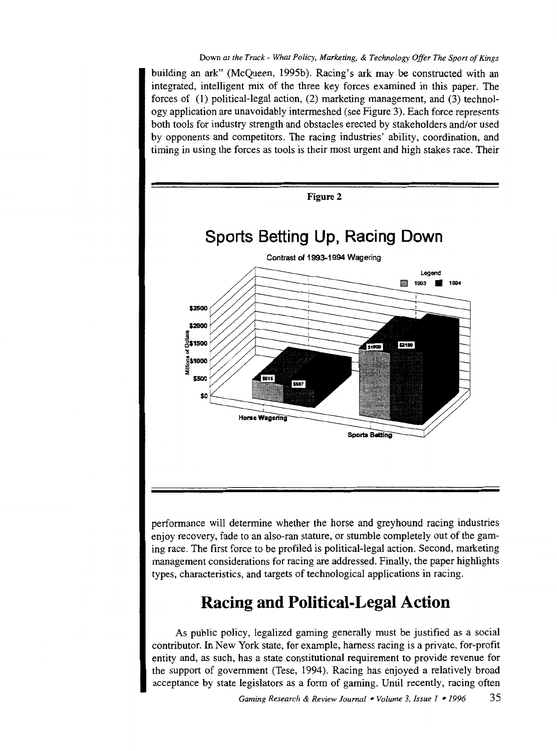building an ark" (McQueen, 1995b). Racing's ark may be constructed with an integrated, intelligent mix of the three key forces examined in this paper. The forces of (1) political-legal action, (2) marketing management, and (3) technology application are unavoidably intermeshed (see Figure 3). Each force represents both tools for industry strength and obstacles erected by stakeholders and/or used by opponents and competitors. The racing industries' ability, coordination, and timing in using the forces as tools is their most urgent and high stakes race. Their



performance will determine whether the horse and greyhound racing industries enjoy recovery, fade to an also-ran stature, or stumble completely out of the gaming race. The first force to be profiled is political-legal action. Second, marketing management considerations for racing are addressed. Finally, the paper highlights types, characteristics, and targets of technological applications in racing.

# **Racing and Political-Legal Action**

As public policy, legalized gaming generally must be justified as a social contributor. In New York state, for example, harness racing is a private, for-profit entity and, as such, has a state constitutional requirement to provide revenue for the support of government (Tese, 1994). Racing has enjoyed a relatively broad acceptance by state legislators as a form of gaming. Until recently, racing often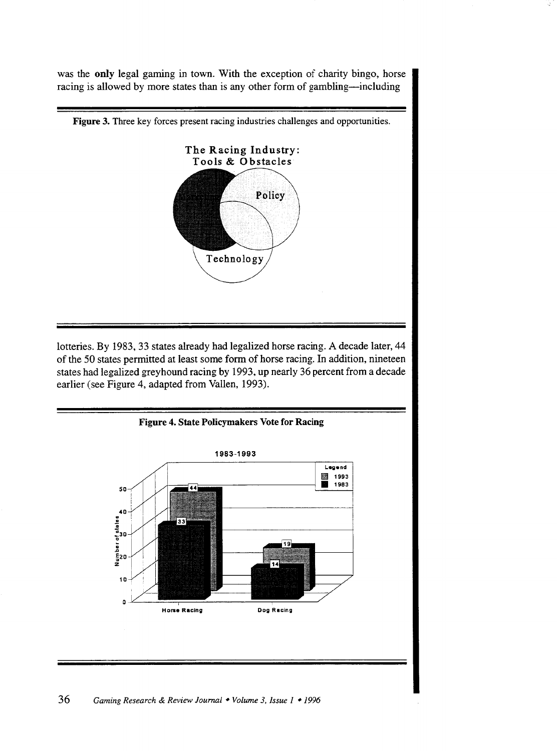was the **only** legal gaming in town. With the exception of charity bingo, horse racing is allowed by more states than is any other form of gambling-including



lotteries. By 1983, 33 states already had legalized horse racing. A decade later, 44 of the 50 states permitted at least some form of horse racing. In addition, nineteen states had legalized greyhound racing by 1993, up nearly 36 percent from a decade earlier (see Figure 4, adapted from Vallen, 1993).

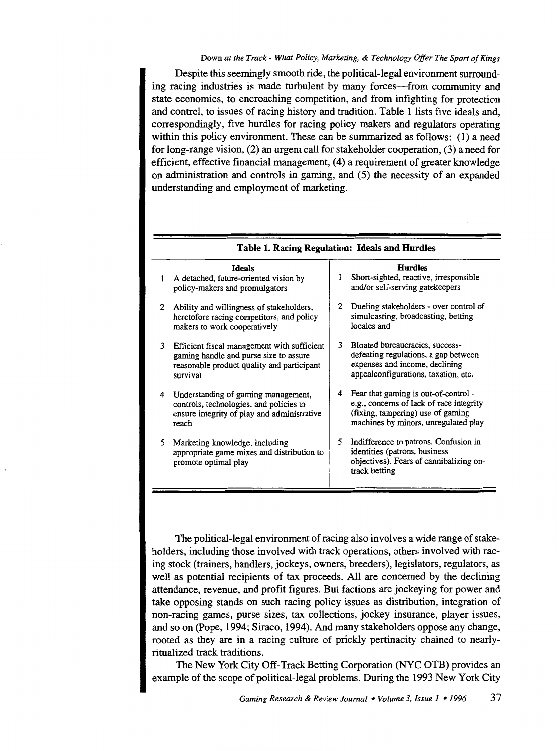#### Down *at the Track- What Policy, Marketing,* & *Technology Offer The Sport of Kings*

Despite this seemingly smooth ride, the political-legal environment surrounding racing industries is made turbulent by many forces-from community and state economics, to encroaching competition, and from infighting for protection and control, to issues of racing history and tradition. Table 1 lists five ideals and, correspondingly, five hurdles for racing policy makers and regulators operating within this policy environment. These can be summarized as follows: (1) a need for long-range vision, (2) an urgent call for stakeholder cooperation, (3) a need for efficient, effective fmancial management, (4) a requirement of greater knowledge on administration and controls in gaming, and (5) the necessity of an expanded understanding and employment of marketing.

| 1 | <b>Ideals</b><br>A detached, future-oriented vision by<br>policy-makers and promulgators                                                        | 1 | <b>Hurdles</b><br>Short-sighted, reactive, irresponsible<br>and/or self-serving gatekeepers                                                                   |  |  |
|---|-------------------------------------------------------------------------------------------------------------------------------------------------|---|---------------------------------------------------------------------------------------------------------------------------------------------------------------|--|--|
| 2 | Ability and willingness of stakeholders,<br>heretofore racing competitors, and policy<br>makers to work cooperatively                           | 2 | Dueling stakeholders - over control of<br>simulcasting, broadcasting, betting<br>locales and                                                                  |  |  |
| 3 | Efficient fiscal management with sufficient<br>gaming handle and purse size to assure<br>reasonable product quality and participant<br>survival | 3 | Bloated bureaucracies, success-<br>defeating regulations, a gap between<br>expenses and income, declining<br>appealconfigurations, taxation, etc.             |  |  |
| 4 | Understanding of gaming management,<br>controls, technologies, and policies to<br>ensure integrity of play and administrative<br>reach          | 4 | Fear that gaming is out-of-control -<br>e.g., concerns of lack of race integrity<br>(fixing, tampering) use of gaming<br>machines by minors, unregulated play |  |  |
| 5 | Marketing knowledge, including<br>appropriate game mixes and distribution to<br>promote optimal play                                            | 5 | Indifference to patrons. Confusion in<br>identities (patrons, business<br>objectives). Fears of cannibalizing on-<br>track betting                            |  |  |
|   |                                                                                                                                                 |   |                                                                                                                                                               |  |  |

Table 1. Racing Regulation: Ideals and Hurdles

The political-legal environment of racing also involves a wide range of stakeholders, including those involved with track operations, others involved with racing stock (trainers, handlers, jockeys, owners, breeders), legislators, regulators, as well as potential recipients of tax proceeds. All are concerned by the declining attendance, revenue, and profit figures. But factions are jockeying for power and take opposing stands on such racing policy issues as distribution, integration of non-racing games, purse sizes, tax collections, jockey insurance, player issues, and so on (Pope, 1994; Siraco, 1994). And many stakeholders oppose any change, rooted as they are in a racing culture of prickly pertinacity chained to nearlyritualized track traditions.

The New York City Off-Track Betting Corporation (NYC OTB) provides an example of the scope of political-legal problems. During the 1993 New York City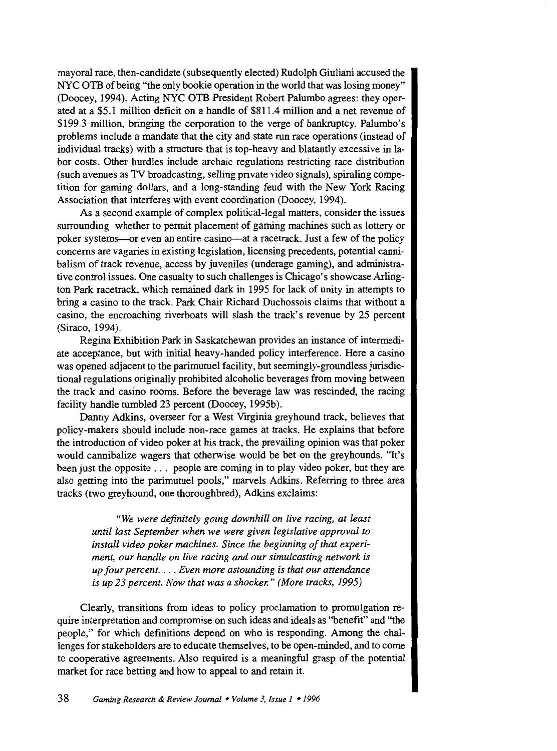mayoral race, then-candidate (subsequently elected) Rudolph Giuliani accused the NYC OTB of being "the only bookie operation in the world that was losing money" (Doocey, 1994). Acting NYC OTB President Robert Palumbo agrees: they operated at a \$5.1 million deficit on a handle of \$811.4 million and a net revenue of \$199.3 million, bringing the corporation to the verge of bankruptcy. Palumbo's problems include a mandate that the city and state run race operations (instead of individual tracks) with a structure that is top-heavy and blatantly excessive in labor costs. Other hurdles include archaic regulations restricting race distribution (such avenues as TV broadcasting, selling private video signals), spiraling competition for gaming dollars, and a long-standing feud with the New York Racing Association that interferes with event coordination (Doocey, 1994).

As a second example of complex political-legal matters, consider the issues surrounding whether to permit placement of gaming machines such as lottery or poker systems-or even an entire casino--at a racetrack. Just a few of the policy concerns are vagaries in existing legislation, licensing precedents, potential cannibalism of track revenue, access by juveniles (underage gaming), and administrative control issues. One casualty to such challenges is Chicago's showcase Arlington Park racetrack, which remained dark in 1995 for lack of unity in attempts to bring a casino to the track. Park Chair Richard Duchossois claims that without a casino, the encroaching riverboats will slash the track's revenue by 25 percent (Siraco, 1994).

Regina Exhibition Park in Saskatchewan provides an instance of intermediate acceptance, but with initial heavy-handed policy interference. Here a casino was opened adjacent to the parimutuel facility, but seemingly-groundless jurisdictional regulations originally prohibited alcoholic beverages from moving between the track and casino rooms. Before the beverage law was rescinded, the racing facility handle tumbled 23 percent (Doocey, 1995b).

Danny Adkins, overseer for a West VIrginia greyhound track, believes that policy-makers should include non-race games at tracks. He explains that before the introduction of video poker at his track, the prevailing opinion was that poker would cannibalize wagers that otherwise would be bet on the greyhounds. "It's been just the opposite . . . people are coming in to play video poker, but they are also getting into the parimutuel pools," marvels Adkins. Referring to three area tracks (two greyhound, one thoroughbred), Adkins exclaims:

*"We were definitely going downhill on live racing, at least until last September when we were given legislative approval to install video poker machines. Since the beginning of that experiment, our handle on live racing and our simulcasting network is up four percent .* ... *Even more astounding is that our attendance is up 23 percent. Now that was a shocker." (More tracks, 1995)* 

Clearly, transitions from ideas to policy proclamation to promulgation require interpretation and compromise on such ideas and ideals as "benefit" and "the people," for which definitions depend on who is responding. Among the challenges for stakeholders are to educate themselves, to be open-minded, and to come to cooperative agreements. Also required is a meaningful grasp of the potential market for race betting and how to appeal to and retain it.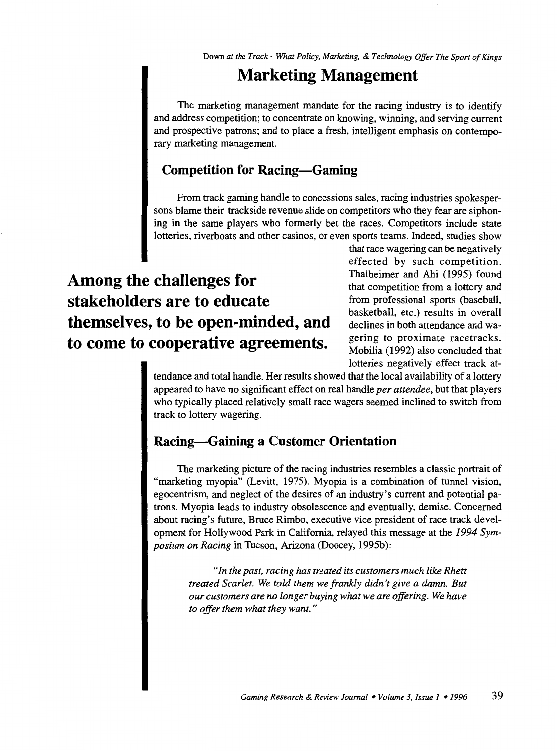# **Marketing Management**

The marketing management mandate for the racing industry is to identify and address competition; to concentrate on knowing, winning, and serving current and prospective patrons; and to place a fresh, intelligent emphasis on contemporary marketing management.

### **Competition for Racing-Gaming**

From track gaming handle to concessions sales, racing industries spokespersons blame their trackside revenue slide on competitors who they fear are siphoning in the same players who formerly bet the races. Competitors include state lotteries, riverboats and other casinos, or even sports teams. Indeed, studies show

# **Among the challenges for stakeholders are to educate themselves, to be open-minded, and to come to cooperative agreements.**

that race wagering can be negatively effected by such competition. Thalheimer and Ahi (1995) found that competition from a lottery and from professional sports (baseball, basketball, etc.) results in overall declines in both attendance and wagering to proximate racetracks. Mobilia (1992) also concluded that lotteries negatively effect track at-

tendance and total handle. Her results showed that the local availability of a lottery appeared to have no significant effect on real handle *per attendee,* but that players who typically placed relatively small race wagers seemed inclined to switch from track to lottery wagering.

### **Racing-Gaining a Customer Orientation**

The marketing picture of the racing industries resembles a classic portrait of "marketing myopia" (Levitt, 1975). Myopia is a combination of tunnel vision, egocentrism, and neglect of the desires of an industry's current and potential patrons. Myopia leads to industry obsolescence and eventually, demise. Concerned about racing's future, Bruce Rimbo, executive vice president of race track development for Hollywood Park in California, relayed this message at the *1994 Symposium on Racing* in Tucson, Arizona (Doocey, 1995b):

> *"In the past, racing has treated its customers much like Rhett treated Scarlet. We told them we frankly didn't give a damn. But our customers are no longer buying what we are offering. We have to offer them what they want.* "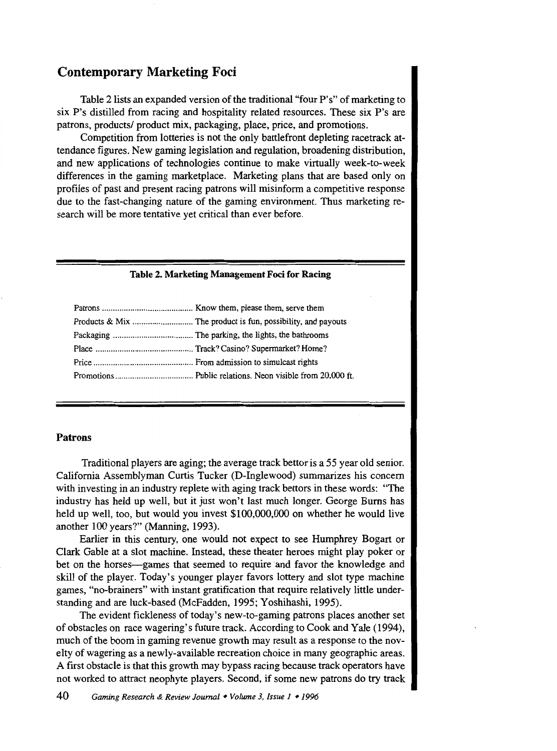### **Contemporary Marketing Foci**

Table 2lists an expanded version of the traditional "four P's" of marketing to six P's distilled from racing and hospitality related resources. These six P's are patrons, products/ product mix, packaging, place, price, and promotions.

Competition from lotteries is not the only battlefront depleting racetrack attendance figures. New gaming legislation and regulation, broadening distribution, and new applications of technologies continue to make virtually week-to-week differences in the gaming marketplace. Marketing plans that are based only on profiles of past and present racing patrons will misinform a competitive response due to the fast-changing nature of the gaming environment. Thus marketing research will be more tentative yet critical than ever before.

#### **Table 2. Marketing Management Foci for Racing**

#### **Patrons**

Traditional players are aging; the average track bettor is a 55 year old senior. California Assemblyman Curtis Tucker (D-Inglewood) summarizes his concern with investing in an industry replete with aging track bettors in these words: "The industry has held up well, but it just won't last much longer. George Burns has held up well, too, but would you invest \$100,000,000 on whether he would live another 100 years?" (Manning, 1993).

Earlier in this century, one would not expect to see Humphrey Bogart or Clark Gable at a slot machine. Instead, these theater heroes might play poker or bet on the horses-games that seemed to require and favor the knowledge and skill of the player. Today's younger player favors lottery and slot type machine games, "no-brainers" with instant gratification that require relatively little understanding and are luck-based (McFadden, 1995; Yoshihashi, 1995).

The evident fickleness of today's new-to-gaming patrons places another set of obstacles on race wagering's future track. According to Cook and Yale (1994), much of the boom in gaming revenue growth may result as a response to the novelty of wagering as a newly-available recreation choice in many geographic areas. A first obstacle is that this growth may bypass racing because track operators have not worked to attract neophyte players. Second, if some new patrons do try track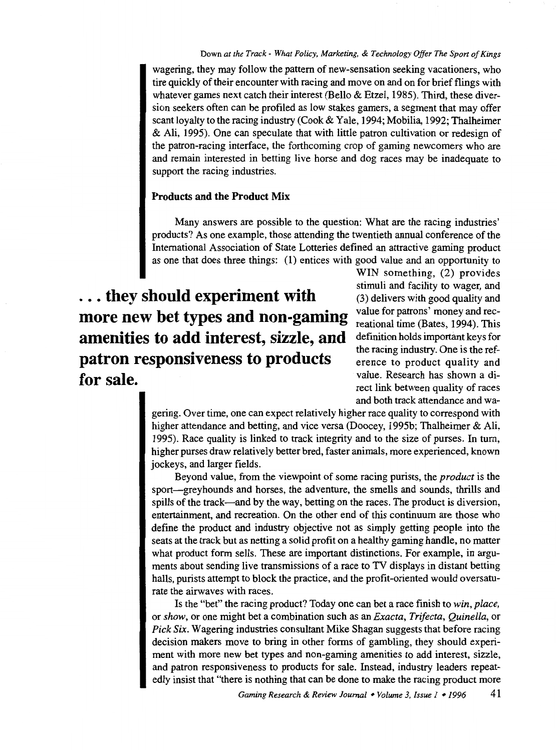wagering, they may follow the pattern of new-sensation seeking vacationers, who tire quickly of their encounter with racing and move on and on for brief flings with whatever games next catch their interest (Bello & Etzel, 1985). Third, these diversion seekers often can be profiled as low stakes garners, a segment that may offer scant loyalty to the racing industry (Cook & Yale, 1994; Mobilia, 1992; Thalheimer & Ali, 1995). One can speculate that with little patron cultivation or redesign of the patron-racing interface, the forthcoming crop of gaming newcomers who are and remain interested in betting live horse and dog races may be inadequate to support the racing industries.

### **Products and the Product Mix**

Many answers are possible to the question: What are the racing industries' products? As one example, those attending the twentieth annual conference of the International Association of State Lotteries defined an attractive gaming product as one that does three things: (1) entices with good value and an opportunity to

... **they should experiment with more new bet types and non-gaming amenities to add interest, sizzle, and patron responsiveness to products for sale.** 

WIN something, (2) provides stimuli and facility to wager, and (3) delivers with good quality and value for patrons' money and recreational time (Bates, 1994). This defmition holds important keys for the racing industry. One is the reference to product quality and value. Research has shown a direct link between quality of races and both track attendance and wa-

gering. Over time, one can expect relatively higher race quality to correspond with higher attendance and betting, and vice versa (Doocey, 1995b; Thalheimer & Ali, 1995). Race quality is linked to track integrity and to the size of purses. In turn, higher purses draw relatively better bred, faster animals, more experienced, known jockeys, and larger fields.

Beyond value, from the viewpoint of some racing purists, the *product* is the sport-greyhounds and horses, the adventure, the smells and sounds, thrills and spills of the track-and by the way, betting on the races. The product is diversion, entertainment, and recreation. On the other end of this continuum are those who define the product and industry objective not as simply getting people into the seats at the track but as netting a solid profit on a healthy gaming handle, no matter what product form sells. These are important distinctions. For example, in arguments about sending live transmissions of a race to TV displays in distant betting halls, purists attempt to block the practice, and the profit-oriented would oversaturate the airwaves with races.

Is the "bet" the racing product? Today one can bet a race finish to *win, place,*  or *show,* or one might bet a combination such as an *Exacta, Trifecta, Quinella,* or *Pick Six.* Wagering industries consultant Mike Shagan suggests that before racing decision makers move to bring in other forms of gambling, they should experiment with more new bet types and non-gaming amenities to add interest, sizzle, and patron responsiveness to products for sale. Instead, industry leaders repeatedly insist that "there is nothing that can be done to make the racing product more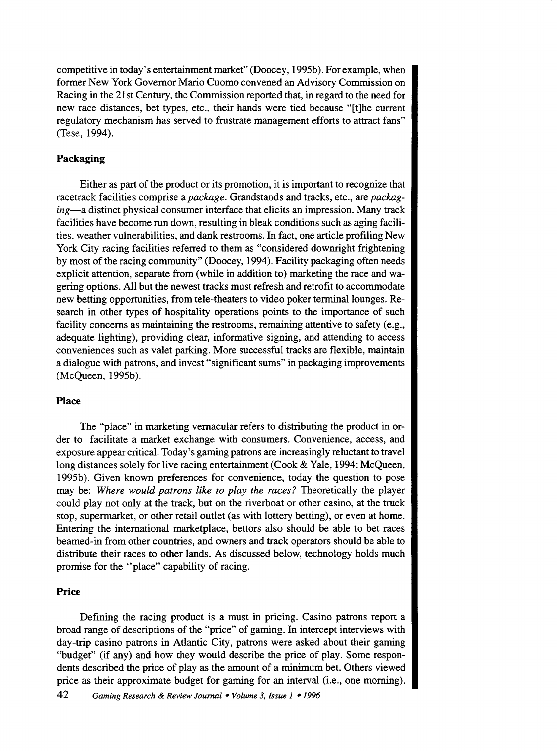competitive in today's entertainment market" (Doocey, 1995b). For example, when former New York Governor Mario Cuomo convened an Advisory Commission on Racing in the 21st Century, the Commission reported that, in regard to the need for new race distances, bet types, etc., their hands were tied because "[t]he current regulatory mechanism has served to frustrate management efforts to attract fans" (Tese, 1994).

### **Packaging**

Either as part of the product or its promotion, it is important to recognize that racetrack facilities comprise a *package.* Grandstands and tracks, etc., are *packaging-a* distinct physical consumer interface that elicits an impression. Many track facilities have become run down, resulting in bleak conditions such as aging facilities, weather vulnerabilities, and dank restrooms. In fact, one article profiling New York City racing facilities referred to them as "considered downright frightening by most of the racing community" (Doocey, 1994). Facility packaging often needs explicit attention, separate from (while in addition to) marketing the race and wagering options. All but the newest tracks must refresh and retrofit to accommodate new betting opportunities, from tele-theaters to video poker terminal lounges. Research in other types of hospitality operations points to the importance of such facility concerns as maintaining the restrooms, remaining attentive to safety (e.g., adequate lighting), providing clear, informative signing, and attending to access conveniences such as valet parking. More successful tracks are flexible, maintain a dialogue with patrons, and invest "significant sums" in packaging improvements (McQueen, 1995b).

### **Place**

The "place" in marketing vernacular refers to distributing the product in order to facilitate a market exchange with consumers. Convenience, access, and exposure appear critical. Today's gaming patrons are increasingly reluctant to travel long distances solely for live racing entertainment (Cook & Yale, 1994: McQueen, 1995b). Given known preferences for convenience, today the question to pose may be: *Where would patrons like to play the races?* Theoretically the player could play not only at the track, but on the riverboat or other casino, at the truck stop, supermarket, or other retail outlet (as with lottery betting), or even at home. Entering the international marketplace, bettors also should be able to bet races beamed-in from other countries, and owners and track operators should be able to distribute their races to other lands. As discussed below, technology holds much promise for the "place" capability of racing.

#### **Price**

Defining the racing product is a must in pricing. Casino patrons report a broad range of descriptions of the "price" of gaming. In intercept interviews with day-trip casino patrons in Atlantic City, patrons were asked about their gaming "budget" (if any) and how they would describe the price of play. Some respondents described the price of play as the amount of a minimum bet. Others viewed price as their approximate budget for gaming for an interval (i.e., one morning).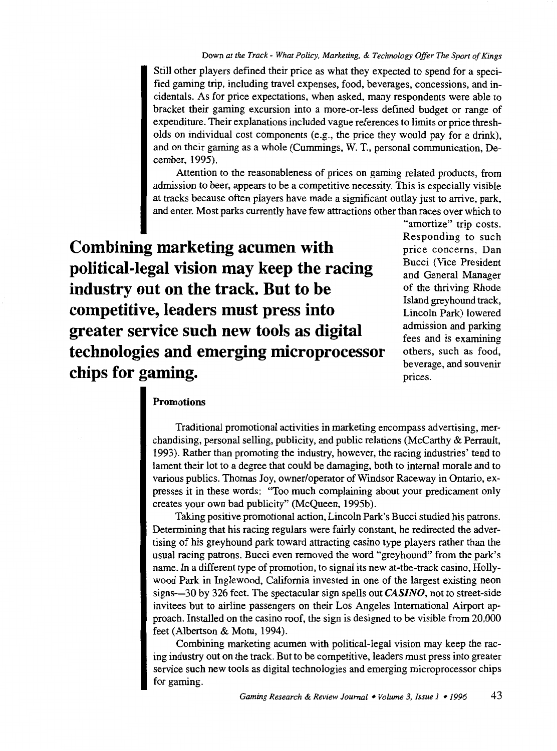Still other players defined their price as what they expected to spend for a specified gaming trip, including travel expenses, food, beverages, concessions, and incidentals. As for price expectations, when asked, many respondents were able to bracket their gaming excursion into a more-or-less defined budget or range of expenditure. Their explanations included vague references to limits or price thresholds on individual cost components (e.g., the price they would pay for a drink), and on their gaming as a whole (Cummings, W. T., personal communication, December, 1995).

Attention to the reasonableness of prices on gaming related products, from admission to beer, appears to be a competitive necessity. This is especially visible at tracks because often players have made a significant outlay just to arrive, park, and enter. Most parks currently have few attractions other than races over which to

**Combining marketing acumen with political-legal vision may keep the racing industry out on the track. But to be competitive, leaders must press into greater service such new tools as digital technologies and emerging microprocessor chips for gaming.** 

"amortize" trip costs. Responding to such price concerns, Dan Bucci (Vice President and General Manager of the thriving Rhode Island greyhound track, Lincoln Park) lowered admission and parking fees and is examining others, such as food, beverage, and souvenir prices.

### **Promotions**

Traditional promotional activities in marketing encompass advertising, merchandising, personal selling, publicity, and public relations (McCarthy & Perrault, 1993). Rather than promoting the industry, however, the racing industries' tend to lament their lot to a degree that could be damaging, both to internal morale and to various publics. Thomas Joy, owner/operator of Windsor Raceway in Ontario, expresses it in these words: "Too much complaining about your predicament only creates your own bad publicity" (McQueen, 1995b).

Taking positive promotional action, Lincoln Park's Bucci studied his patrons. Determining that his racing regulars were fairly constant, he redirected the advertising of his greyhound park toward attracting casino type players rather than the usual racing patrons. Bucci even removed the word "greyhound" from the park's name. In a different type of promotion, to signal its new at-the-track casino, Hollywood Park in Inglewood, California invested in one of the largest existing neon signs-30 by 326 feet. The spectacular sign spells out *CASINO,* not to street-side invitees but to airline passengers on their Los Angeles International Airport approach. Installed on the casino roof, the sign is designed to be visible from 20,000 feet (Albertson & Motu, 1994).

Combining marketing acumen with political-legal vision may keep the racing industry out on the track. But to be competitive, leaders must press into greater service such new tools as digital technologies and emerging microprocessor chips for gaming.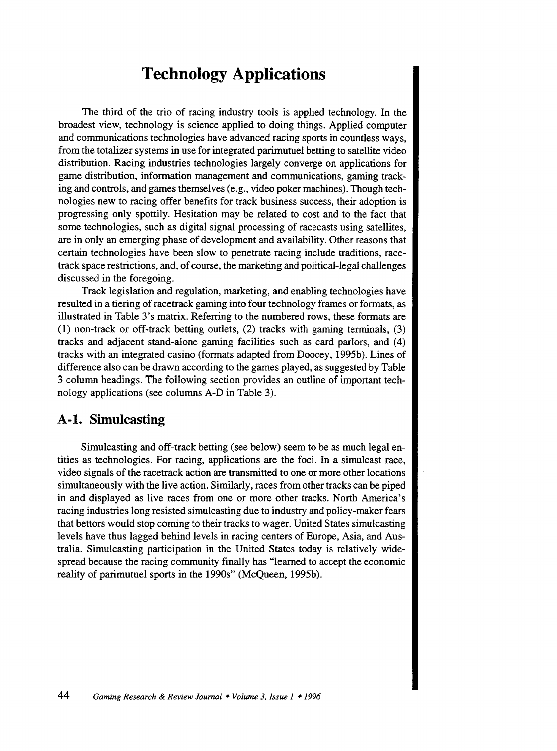### **Technology Applications**

The third of the trio of racing industry tools is applied technology. In the broadest view, technology is science applied to doing things. Applied computer and communications technologies have advanced racing sports in countless ways, from the totalizer systems in use for integrated parimutuel betting to satellite video distribution. Racing industries technologies largely converge on applications for game distribution, information management and communications, gaming tracking and controls, and games themselves (e.g., video poker machines). Though technologies new to racing offer benefits for track business success, their adoption is progressing only spottily. Hesitation may be related to cost and to the fact that some technologies, such as digital signal processing of racecasts using satellites, are in only an emerging phase of development and availability. Other reasons that certain technologies have been slow to penetrate racing include traditions, racetrack space restrictions, and, of course, the marketing and political-legal challenges discussed in the foregoing.

Track legislation and regulation, marketing, and enabling technologies have resulted in a tiering of racetrack gaming into four technology frames or formats, as illustrated in Table 3's matrix. Referring to the numbered rows, these formats are (1) non-track or off-track betting outlets, (2) tracks with gaming terminals, (3) tracks and adjacent stand-alone gaming facilities such as card parlors, and (4) tracks with an integrated casino (formats adapted from Doocey, 1995b). Lines of difference also can be drawn according to the games played, as suggested by Table 3 column headings. The following section provides an outline of important technology applications (see columns A-D in Table 3).

### **A-1. Simulcasting**

Simulcasting and off-track betting (see below) seem to be as much legal entities as technologies. For racing, applications are the foci. In a simulcast race, video signals of the racetrack action are transmitted to one or more other locations simultaneously with the live action. Similarly, races from other tracks can be piped in and displayed as live races from one or more other tracks. North America's racing industries long resisted simulcasting due to industry and policy-maker fears that bettors would stop coming to their tracks to wager. United States simulcasting levels have thus lagged behind levels in racing centers of Europe, Asia, and Australia. Simulcasting participation in the United States today is relatively widespread because the racing community finally has "learned to accept the economic reality of parimutuel sports in the 1990s" (McQueen, 1995b).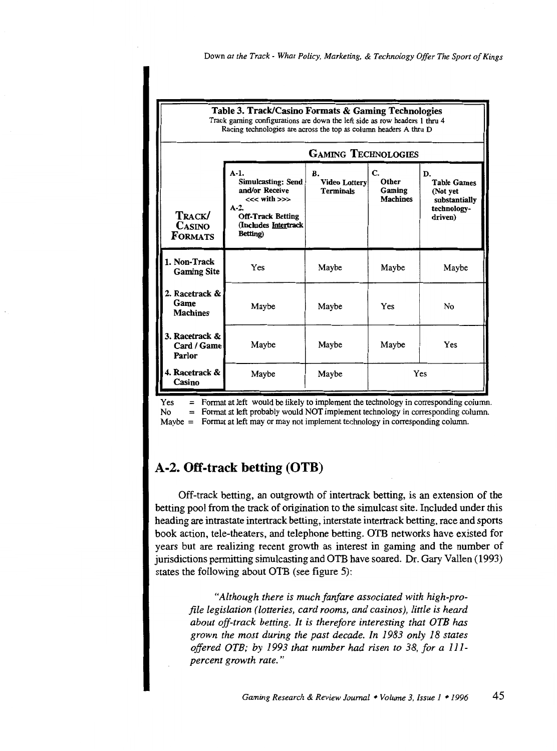

Yes = Format at left would be likely to implement the technology in corresponding column.<br>No = Format at left probably would NOT implement technology in corresponding column.  $No =$  Format at left probably would NOT implement technology in corresponding column. Maybe = Format at left may or may not implement technology in corresponding column.

### A-2. **Off-track betting (OTB)**

Off-track betting, an outgrowth of intertrack betting, is an extension of the betting pool from the track of origination to the simulcast site. Included under this heading are intrastate intertrack betting, interstate intertrack betting, race and sports book action, tete-theaters, and telephone betting. OTB networks have existed for years but are realizing recent growth as interest in gaming and the number of jurisdictions permitting simulcasting and OTB have soared. Dr. Gary Vallen (1993) states the following about OTB (see figure 5):

*"Although there is much fanfare associated with high-profile legislation (lotteries, card rooms, and casinos), little is heard about off-track betting. It is therefore interesting that OTB* has *grown the most during the past decade. In 1983 only 18 states offered OTB; by 1993 that number* had *risen to 38, for a 111 percent growth rate.* "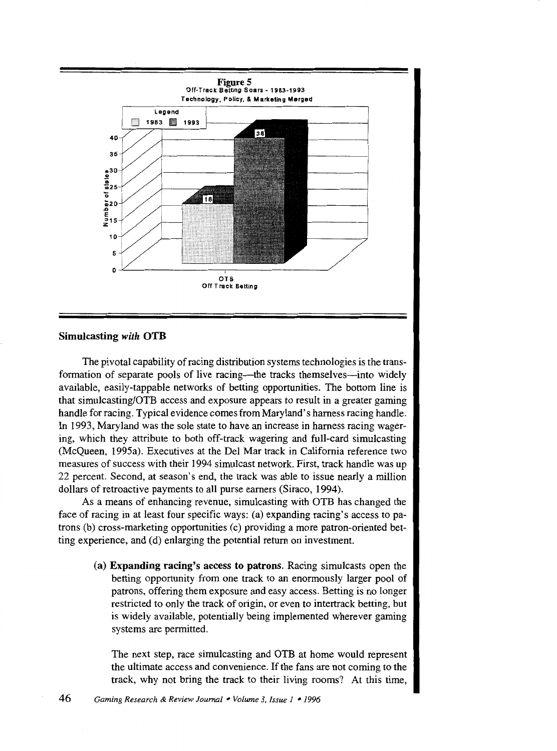

#### Simulcasting with OTB

The pivotal capability of racing distribution systems technologies is the transformation of separate pools of live racing—the tracks themselves—into widely available, easily-tappable networks of betting opportunities. The bottom line is that simulcasting/OTB access and exposure appears to result in a greater gaming handle for racing. Typical evidence comes from Maryland's harness racing handle. In 1993, Maryland was the sole state to have an increase in harness racing wagering, which they attribute to both off-track wagering and full-card simulcasting (McQueen, 1995a). Executives at the Del Mar track in California reference two measures of success with their 1994 simulcast network. First, track handle was up 22 percent. Second, at season's end, the track was able to issue nearly a million dollars of retroactive payments to all purse earners (Siraco, 1994).

As a means of enhancing revenue, simulcasting with OTB has changed the face of racing in at least four specific ways: (a) expanding racing's access to patrons (b) cross-marketing opportunities (c) providing a more patron-oriented betting experience, and (d) enlarging the potential return on investment.

(a) Expanding racing's access to patrons. Racing simulcasts open the betting opportunity from one track to an enormously larger pool of patrons, offering them exposure and easy access. Betting is no longer restricted to only the track of origin, or even to intertrack betting, but is widely available, potentially being implemented wherever gaming systems are permitted.

The next step, race simulcasting and OTB at home would represent the ultimate access and convenience. If the fans are not coming to the track, why not bring the track to their living rooms? At this time,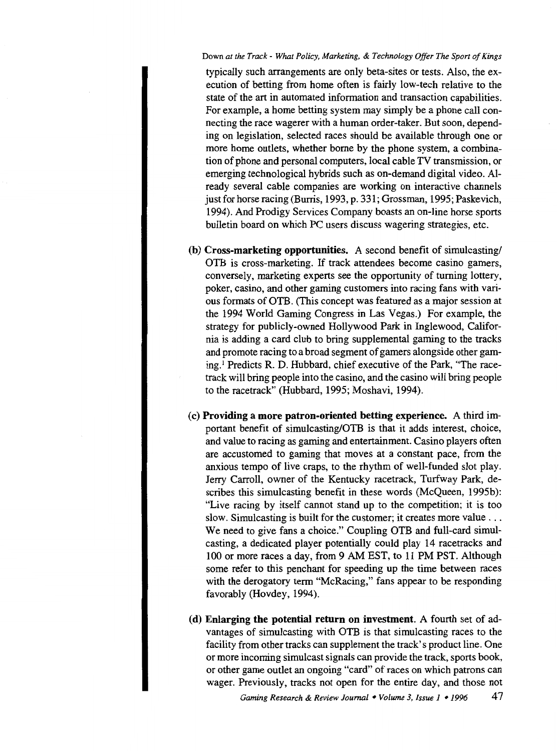#### Down *at the Track- What Policy, Marketing,* & *Technology Offer The Sport of Kings*

typically such arrangements are only beta-sites or tests. Also, the execution of betting from home often is fairly low-tech relative to the state of the art in automated information and transaction capabilities. For example, a home betting system may simply be a phone call connecting the race wagerer with a human order-taker. But soon, depending on legislation, selected races should be available through one or more home outlets, whether borne by the phone system, a combination of phone and personal computers, local cable TV transmission, or emerging technological hybrids such as on-demand digital video. Already several cable companies are working on interactive channels just for horse racing (Burris, 1993, p. 331; Grossman, 1995; Paskevich, 1994). And Prodigy Services Company boasts an on-line horse sports bulletin board on which PC users discuss wagering strategies, etc.

- **(b) Cross-marketing opportunities.** A second benefit of simulcasting/ OTB is cross-marketing. If track attendees become casino gamers, conversely, marketing experts see the opportunity of turning lottery, poker, casino, and other gaming customers into racing fans with various formats of OTB. (This concept was featured as a major session at the 1994 World Gaming Congress in Las Vegas.) For example, the strategy for publicly-owned Hollywood Park in Inglewood, California is adding a card club to bring supplemental gaming to the tracks and promote racing to a broad segment of gamers alongside other gaming.1 Predicts R. D. Hubbard, chief executive of the Park, "The racetrack will bring people into the casino, and the casino will bring people to the racetrack" (Hubbard, 1995; Moshavi, 1994).
- (c) **Providing a more patron-oriented betting experience.** A third important benefit of simulcasting/OTB is that it adds interest, choice, and value to racing as gaming and entertainment. Casino players often are accustomed to gaming that moves at a constant pace, from the anxious tempo of live craps, to the rhythm of well-funded slot play. Jerry Carroll, owner of the Kentucky racetrack, Turfway Park, describes this simulcasting benefit in these words (McQueen, 1995b): "Live racing by itself cannot stand up to the competition; it is too slow. Simulcasting is built for the customer; it creates more value ... We need to give fans a choice." Coupling OTB and full-card simulcasting, a dedicated player potentially could play 14 racetracks and 100 or more races a day, from 9 AM EST, to 11 PM PST. Although some refer to this penchant for speeding up the time between races with the derogatory term "McRacing," fans appear to be responding favorably (Hovdey, 1994).
- **(d) Enlarging the potential return on investment.** A fourth set of advantages of simulcasting with OTB is that simulcasting races to the facility from other tracks can supplement the track's product line. One or more incoming simulcast signals can provide the track, sports book, or other game outlet an ongoing "card" of races on which patrons can wager. Previously, tracks not open for the entire day, and those not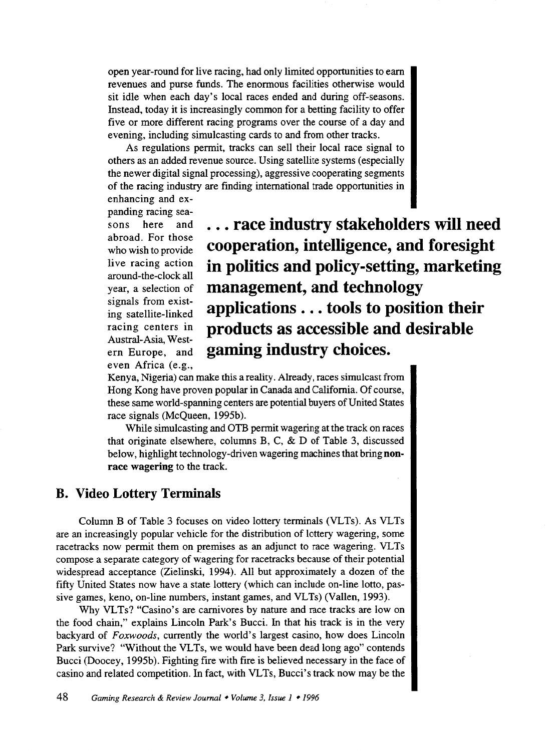open year-round for live racing, had only limited opportunities to earn revenues and purse funds. The enormous facilities otherwise would sit idle when each day's local races ended and during off-seasons. Instead, today it is increasingly common for a betting facility to offer five or more different racing programs over the course of a day and evening, including simulcasting cards to and from other tracks.

As regulations permit, tracks can sell their local race signal to others as an added revenue source. Using satellite systems (especially the newer digital signal processing), aggressive cooperating segments of the racing industry are finding international trade opportunities in enhancing and ex-

panding racing seasons here and abroad. For those who wish to provide live racing action around-the-clock all year, a selection of signals from existing satellite-linked racing centers in Austral-Asia, Western Europe, and even Africa (e.g.,

... **race industry stakeholders will need cooperation, intelligence, and foresight in politics and policy-setting, marketing management, and technology applications** ... **tools to position their products as accessible and desirable gaming industry choices.** 

Kenya, Nigeria) can make this a reality. Already, races simulcast from Hong Kong have proven popular in Canada and California. Of course, these same world-spanning centers are potential buyers of United States race signals (McQueen, 1995b).

While simulcasting and OTB permit wagering at the track on races that originate elsewhere, columns B, C, & D of Table 3, discussed below, highlight technology-driven wagering machines that bring **nonrace wagering** to the track.

### **B. Video Lottery Terminals**

Column B of Table 3 focuses on video lottery terminals (VLTs). As VLTs are an increasingly popular vehicle for the distribution of lottery wagering, some racetracks now permit them on premises as an adjunct to race wagering. VLTs compose a separate category of wagering for racetracks because of their potential widespread acceptance (Zielinski, 1994). All but approximately a dozen of the fifty United States now have a state lottery (which can include on-line lotto, passive games, keno, on-line numbers, instant games, and VLTs) (Vallen, 1993).

Why VLTs? "Casino's are carnivores by nature and race tracks are low on the food chain," explains Lincoln Park's Bucci. In that his track is in the very backyard of *Foxwoods,* currently the world's largest casino, how does Lincoln Park survive? "Without the VLTs, we would have been dead long ago" contends Bucci (Doocey, 1995b). Fighting fire with fire is believed necessary in the face of casino and related competition. In fact, with VLTs, Bucci's track now may be the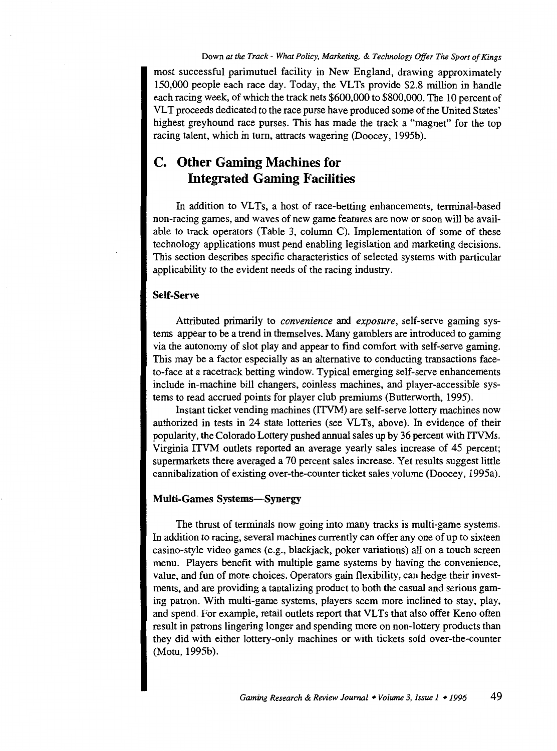most successful parimutuel facility in New England, drawing approximately 150,000 people each race day. Today, the VLTs provide \$2.8 million in handle each racing week, of which the track nets \$600,000 to \$800,000. The 10 percent of VL T proceeds dedicated to the race purse have produced some of the United States' highest greyhound race purses. This has made the track a "magnet" for the top racing talent, which in tum, attracts wagering (Doocey, 1995b).

### **C. Other Gaming Machines for Integrated Gaming Facilities**

In addition to VLTs, a host of race-betting enhancements, terminal-based non-racing games, and waves of new game features are now or soon will be available to track operators (Table 3, column C). Implementation of some of these technology applications must pend enabling legislation and marketing decisions. This section describes specific characteristics of selected systems with particular applicability to the evident needs of the racing industry.

### Self-Serve

Attributed primarily to *convenience* and *exposure,* self-serve gaming systems appear to be a trend in themselves. Many gamblers are introduced to gaming via the autonomy of slot play and appear to find comfort with self-serve gaming. This may be a factor especially as an alternative to conducting transactions faceto-face at a racetrack betting window. Typical emerging self-serve enhancements include in-machine bill changers, coinless machines, and player-accessible systems to read accrued points for player club premiums (Butterworth, 1995).

Instant ticket vending machines (ITVM) are self-serve lottery machines now authorized in tests in 24 state lotteries (see VLTs, above). In evidence of their popularity, the Colorado Lottery pushed annual sales up by 36 percent with ITVMs. Virginia ITVM outlets reported an average yearly sales increase of 45 percent; supermarkets there averaged a 70 percent sales increase. Yet results suggest little cannibalization of existing over-the-counter ticket sales volume (Doocey, 1995a).

### Multi-Games Systems-Synergy

The thrust of terminals now going into many tracks is multi-game systems. In addition to racing, several machines currently can offer any one of up to sixteen casino-style video games (e.g., blackjack, poker variations) all on a touch screen menu. Players benefit with multiple game systems by having the convenience, value, and fun of more choices. Operators gain flexibility, can hedge their investments, and are providing a tantalizing product to both the casual and serious gaming patron. With multi-game systems, players seem more inclined to stay, play, and spend. For example, retail outlets report that VLTs that also offer Keno often result in patrons lingering longer and spending more on non-lottery products than they did with either lottery-only machines or with tickets sold over-the-counter (Motu, 1995b).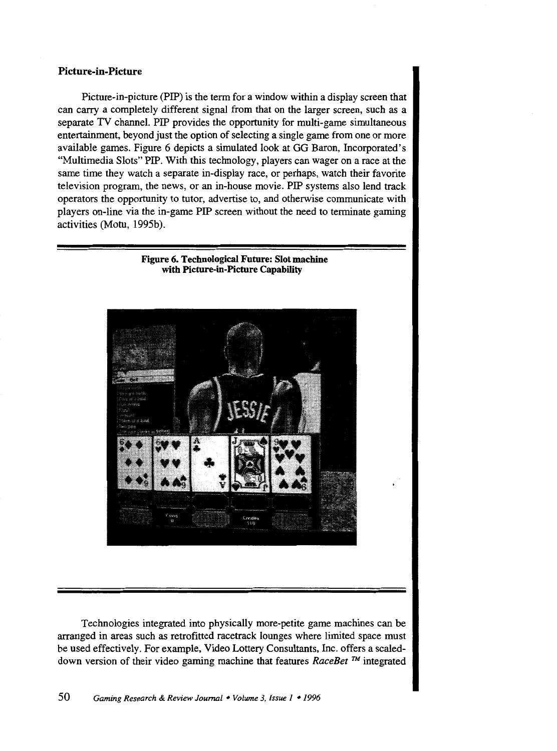### **Picture-in-Picture**

Picture-in-picture (PIP) is the term for a window within a display screen that can carry a completely different signal from that on the larger screen, such as a separate TV channel. PIP provides the opportunity for multi-game simultaneous entertainment, beyond just the option of selecting a single game from one or more available games. Figure 6 depicts a simulated look at GG Baron, Incorporated's "Multimedia Slots" PIP. With this technology, players can wager on a race at the same time they watch a separate in-display race, or perhaps, watch their favorite television program, the news, or an in-house movie. PIP systems also lend track operators the opportunity to tutor, advertise to, and otherwise communicate with players on-line via the in-game PIP screen without the need to terminate gaming activities (Motu, 1995b).

**Figure 6. Technological Future: Slot machine** 



Technologies integrated into physically more-petite game machines can be arranged in areas such as retrofitted racetrack lounges where limited space must be used effectively. For example, Video Lottery Consultants, Inc. offers a scaleddown version of their video gaming machine that features *RaceBet* ™ integrated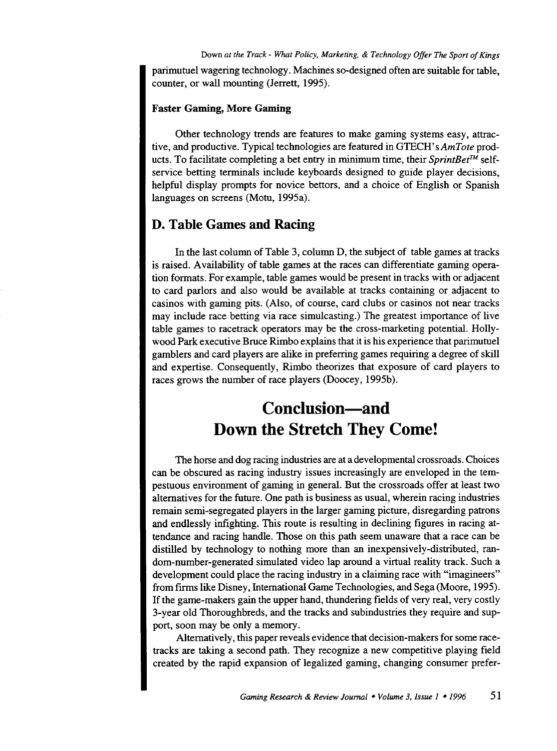parimutuel wagering technology. Machines so-designed often are suitable for table, counter, or wall mounting (Jerrett, 1995).

#### **Faster Gaming, More Gaming**

Other technology trends are features to make gaming systems easy, attractive, and productive. Typical technologies are featured in *GTECH'sAmTote* products. To facilitate completing a bet entry in minimum time, their *SprintBet™* selfservice betting terminals include keyboards designed to guide player decisions, helpful display prompts for novice bettors, and a choice of English or Spanish languages on screens (Motu, 1995a).

### **D. Table Games and Racing**

In the last column of Table 3, column D, the subject of table games at tracks is raised. Availability of table games at the races can differentiate gaming operation formats. For example, table games would be present in tracks with or adjacent to card parlors and also would be available at tracks containing or adjacent to casinos with gaming pits. (Also, of course, card clubs or casinos not near tracks may include race betting via race simulcasting.) The greatest importance of live table games to racetrack operators may be the cross-marketing potential. Hollywood Park executive Bruce Rimbo explains that it is his experience that parimutuel gamblers and card players are alike in preferring games requiring a degree of skill and expertise. Consequently, Rimbo theorizes that exposure of card players to races grows the number of race players (Doocey, 1995b).

# **Conclusion-and Down the Stretch They Come!**

The horse and dog racing industries are at a developmental crossroads. Choices can be obscured as racing industry issues increasingly are enveloped in the tempestuous environment of gaming in general. But the crossroads offer at least two alternatives for the future. One path is business as usual, wherein racing industries remain semi-segregated players in the larger gaming picture, disregarding patrons and endlessly infighting. This route is resulting in declining figures in racing attendance and racing handle. Those on this path seem unaware that a race can be distilled by technology to nothing more than an inexpensively-distributed, random-number-generated simulated video lap around a virtual reality track. Such a development could place the racing industry in a claiming race with "imagineers" from firms like Disney, International Game Technologies, and Sega (Moore, 1995). If the game-makers gain the upper hand, thundering fields of very real, very costly 3-year old Thoroughbreds, and the tracks and subindustries they require and support, soon may be only a memory.

Alternatively, this paper reveals evidence that decision-makers for some racetracks are taking a second path. They recognize a new competitive playing field created by the rapid expansion of legalized gaming, changing consumer prefer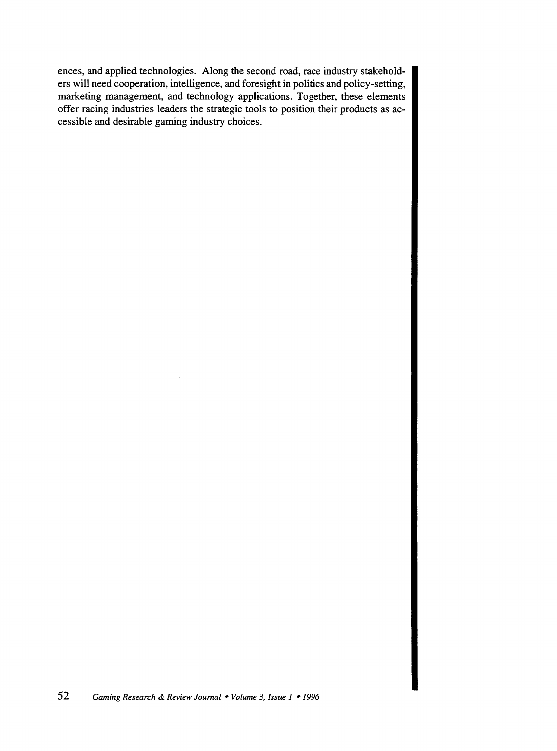ences, and applied technologies. Along the second road, race industry stakeholders will need cooperation, intelligence, and foresight in politics and policy-setting, marketing management, and technology applications. Together, these elements offer racing industries leaders the strategic tools to position their products as accessible and desirable gaming industry choices.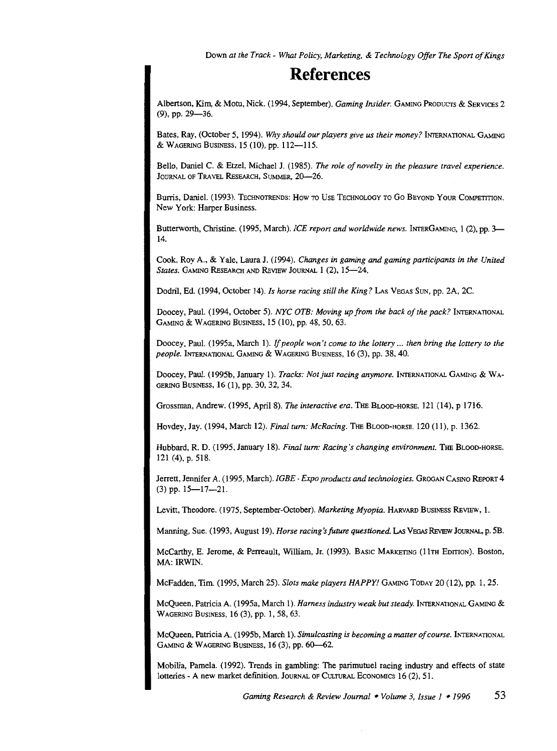Down *at the Track- What Policy, Marketing,* & *Technology Offer The Sport of Kings* 

### **References**

Albertson, Kim, & Motu, Nick. (1994, September). *Gaming Insider.* GAMING PRoDucrs & SERVICES 2 (9), pp. 29-36.

Bates, Ray, (October 5, I994). *Why should our players give us their money?* INTERNATIONAL GAMING & WAGERING BUSINESS,  $15(10)$ , pp.  $112-115$ .

Bello, Daniel C. & Etzel, Michael J. (I985). *The role of novelty in the pleasure travel experience.*  JOURNAL OF TRAVEL RESEARCH, SUMMER, 20-26.

Burris, Daniel. (I993). TECHNOTRENDS: How TO UsE TECHNOLOGY TO Go BEYOND YouR CoMPETITION. New York: Harper Business.

Butterworth, Christine. (1995, March). *ICE report and worldwide news.* INTERGAMING, 1 (2), pp. 3-I4.

Cook, Roy A., & Yale, Laura J. (I994). *Changes in gaming* and *gaming participants in the United*  States. GAMING RESEARCH AND REVIEW JOURNAL 1 (2), 15-24.

Dodril, Ed. (1994, October 14). *Is horse racing still the King?* Las VEGAS SUN, pp. 2A, 2C.

Doocey, Paul. (1994, October 5). *NYC OTB: Moving up from the back of the pack?* INTERNATIONAL GAMING & WAGERING BusiNESS, IS (10), pp. 48, 50, 63.

Doocey, Paul. ( I995a, March I). If *people won't come to the lottery* ... *then bring the lottery to the people.* INTERNATIONAL GAMING & WAGERING BUSINESS, I6 (3), pp. 38, 40.

Doocey, Paul. (I995b, January I). *Tracks: Not just racing anymore.* INTERNATIONAL GAMING & WA-GERING BusiNESS, I6 (I), pp. 30, 32, 34.

Grossman, Andrew. (1995, AprilS). *The interactive era.* THE BLOOD-HORSE. I2I (14), p I7I6.

Hovdey, Jay. (1994, March I2). *Final tum: McRacing.* THE BLOOD-HORSE. 120 (1I), p. 1362.

Hubbard, R. D. (1995, January 18). *Final turn: Racing's changing environment*. THE BLOOD-HORSE. I2I (4), p. 5I8.

Jerrett, Jennifer A. (I995, March). *IGBE- Expo products and technologies.* GROGAN CASINO REroRT4  $(3)$  pp.  $15-17-21$ .

Levitt, Theodore. (1975, September-October). *Marketing Myopia*. HARVARD BUSINESS REVIEW, 1.

Manning, Sue. ( 1993, August 19). *Horse racing's future questioned.* LAs VEGAS REviEw JOURNAL, p. 5B.

McCarthy, E. Jerome, & Perreault, William, Jr. (1993). BASIC MARKETING (11TH EDITION). Boston, MA: IRWIN.

McFadden, Tim. (1995, March 25). *Slots make players HAPPY!* GAMING ToDAY 20 (12), pp. 1, 25.

McQueen, Patricia A. (1995a, March 1). *Harness industry weak but steady.* INTERNATIONAL GAMING & WAGERING BusiNESS, 16 (3), pp. I, 58, 63.

McQueen, Patricia A. ( 1995b, March 1 ). *Simulcasting is becoming a matter of course.* INTERNATIONAL GAMING & WAGERING BUSINESS, 16 (3), pp. 60-62.

Mobilia, Pamela. (1992). Trends in gambling: The parimutuel racing industry and effects of state lotteries - A new market definition. JOURNAL OF CULTURAL ECONOMICS I6 (2), 51.